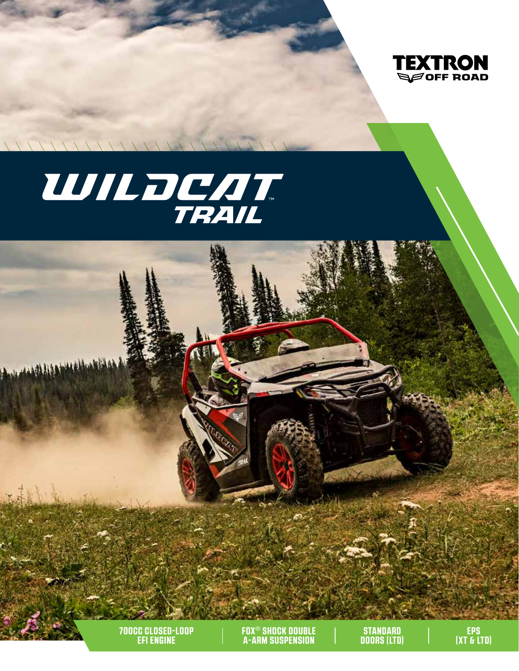

# WILDCAT